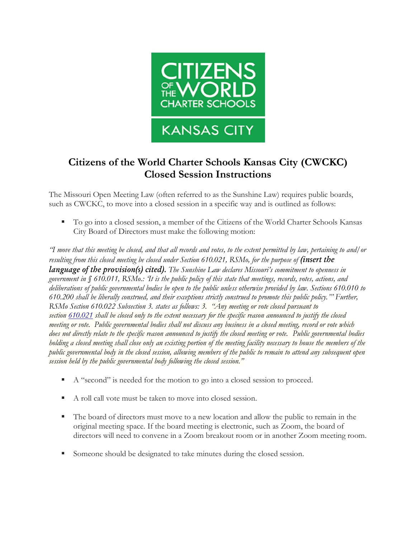

## **Citizens of the World Charter Schools Kansas City (CWCKC) Closed Session Instructions**

The Missouri Open Meeting Law (often referred to as the Sunshine Law) requires public boards, such as CWCKC, to move into a closed session in a specific way and is outlined as follows:

▪ To go into a closed session, a member of the Citizens of the World Charter Schools Kansas City Board of Directors must make the following motion:

*"I move that this meeting be closed, and that all records and votes, to the extent permitted by law, pertaining to and/or resulting from this closed meeting be closed under Section 610.021, RSMo, for the purpose of (insert the language of the provision(s) cited). The Sunshine Law declares Missouri's commitment to openness in government in § 610.011, RSMo.: 'It is the public policy of this state that meetings, records, votes, actions, and deliberations of public governmental bodies be open to the public unless otherwise provided by law. Sections 610.010 to 610.200 shall be liberally construed, and their exceptions strictly construed to promote this public policy.'" Further, RSMo Section 610.022 Subsection 3. states as follows: 3. "Any meeting or vote closed pursuant to section [610.021](https://revisor.mo.gov/main/OneSection.aspx?section=610.021) shall be closed only to the extent necessary for the specific reason announced to justify the closed meeting or vote. Public governmental bodies shall not discuss any business in a closed meeting, record or vote which does not directly relate to the specific reason announced to justify the closed meeting or vote. Public governmental bodies holding a closed meeting shall close only an existing portion of the meeting facility necessary to house the members of the public governmental body in the closed session, allowing members of the public to remain to attend any subsequent open session held by the public governmental body following the closed session."*

- A "second" is needed for the motion to go into a closed session to proceed.
- A roll call vote must be taken to move into closed session.
- The board of directors must move to a new location and allow the public to remain in the original meeting space. If the board meeting is electronic, such as Zoom, the board of directors will need to convene in a Zoom breakout room or in another Zoom meeting room.
- Someone should be designated to take minutes during the closed session.